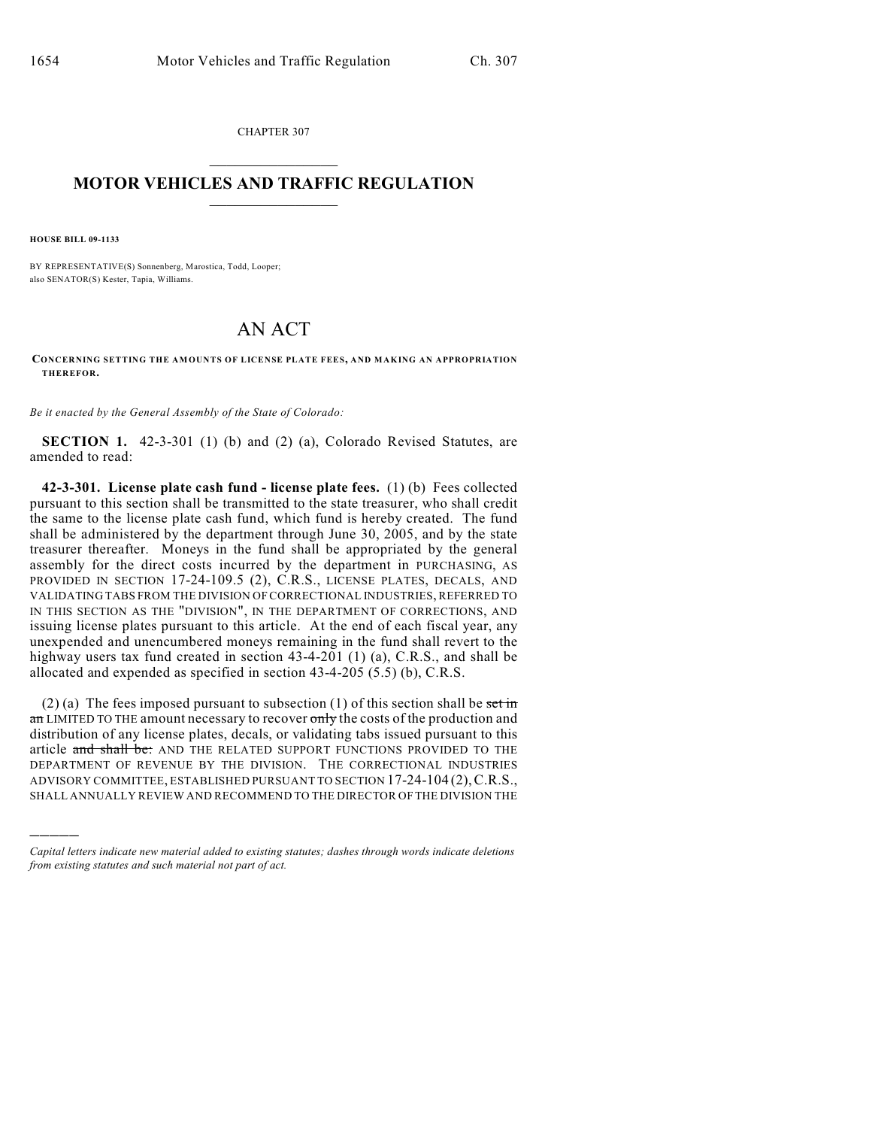CHAPTER 307  $\mathcal{L}_\text{max}$  . The set of the set of the set of the set of the set of the set of the set of the set of the set of the set of the set of the set of the set of the set of the set of the set of the set of the set of the set

## **MOTOR VEHICLES AND TRAFFIC REGULATION**  $\frac{1}{2}$  ,  $\frac{1}{2}$  ,  $\frac{1}{2}$  ,  $\frac{1}{2}$  ,  $\frac{1}{2}$  ,  $\frac{1}{2}$  ,  $\frac{1}{2}$  ,  $\frac{1}{2}$

**HOUSE BILL 09-1133**

)))))

BY REPRESENTATIVE(S) Sonnenberg, Marostica, Todd, Looper; also SENATOR(S) Kester, Tapia, Williams.

## AN ACT

**CONCERNING SETTING THE AM OUNTS OF LICENSE PLATE FEES, AND MAKING AN APPROPRIATION THEREFOR.**

*Be it enacted by the General Assembly of the State of Colorado:*

**SECTION 1.** 42-3-301 (1) (b) and (2) (a), Colorado Revised Statutes, are amended to read:

**42-3-301. License plate cash fund - license plate fees.** (1) (b) Fees collected pursuant to this section shall be transmitted to the state treasurer, who shall credit the same to the license plate cash fund, which fund is hereby created. The fund shall be administered by the department through June 30, 2005, and by the state treasurer thereafter. Moneys in the fund shall be appropriated by the general assembly for the direct costs incurred by the department in PURCHASING, AS PROVIDED IN SECTION 17-24-109.5 (2), C.R.S., LICENSE PLATES, DECALS, AND VALIDATING TABS FROM THE DIVISION OF CORRECTIONAL INDUSTRIES, REFERRED TO IN THIS SECTION AS THE "DIVISION", IN THE DEPARTMENT OF CORRECTIONS, AND issuing license plates pursuant to this article. At the end of each fiscal year, any unexpended and unencumbered moneys remaining in the fund shall revert to the highway users tax fund created in section 43-4-201 (1) (a), C.R.S., and shall be allocated and expended as specified in section 43-4-205 (5.5) (b), C.R.S.

(2) (a) The fees imposed pursuant to subsection (1) of this section shall be set in an LIMITED TO THE amount necessary to recover only the costs of the production and distribution of any license plates, decals, or validating tabs issued pursuant to this article and shall be: AND THE RELATED SUPPORT FUNCTIONS PROVIDED TO THE DEPARTMENT OF REVENUE BY THE DIVISION. THE CORRECTIONAL INDUSTRIES ADVISORY COMMITTEE, ESTABLISHED PURSUANT TO SECTION 17-24-104 (2),C.R.S., SHALL ANNUALLY REVIEW AND RECOMMEND TO THE DIRECTOR OF THE DIVISION THE

*Capital letters indicate new material added to existing statutes; dashes through words indicate deletions from existing statutes and such material not part of act.*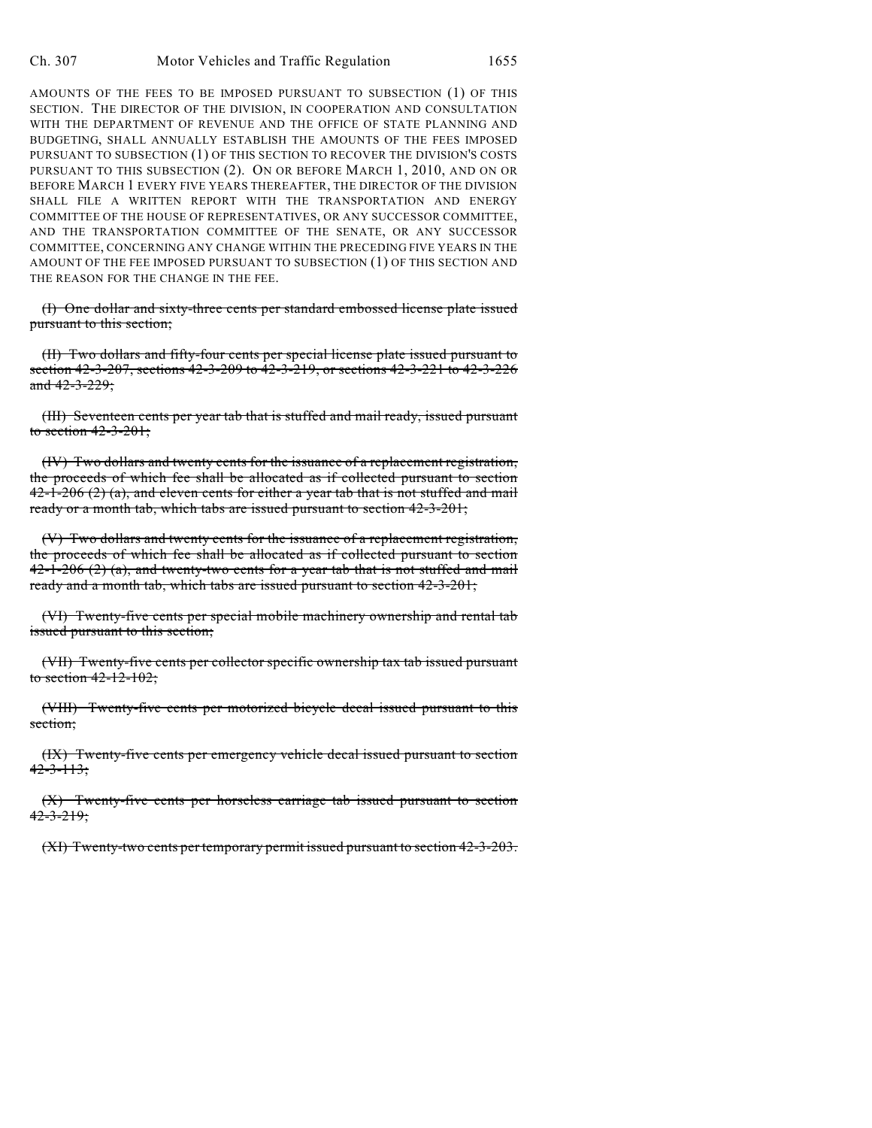AMOUNTS OF THE FEES TO BE IMPOSED PURSUANT TO SUBSECTION (1) OF THIS SECTION. THE DIRECTOR OF THE DIVISION, IN COOPERATION AND CONSULTATION WITH THE DEPARTMENT OF REVENUE AND THE OFFICE OF STATE PLANNING AND BUDGETING, SHALL ANNUALLY ESTABLISH THE AMOUNTS OF THE FEES IMPOSED PURSUANT TO SUBSECTION (1) OF THIS SECTION TO RECOVER THE DIVISION'S COSTS PURSUANT TO THIS SUBSECTION (2). ON OR BEFORE MARCH 1, 2010, AND ON OR BEFORE MARCH 1 EVERY FIVE YEARS THEREAFTER, THE DIRECTOR OF THE DIVISION SHALL FILE A WRITTEN REPORT WITH THE TRANSPORTATION AND ENERGY COMMITTEE OF THE HOUSE OF REPRESENTATIVES, OR ANY SUCCESSOR COMMITTEE, AND THE TRANSPORTATION COMMITTEE OF THE SENATE, OR ANY SUCCESSOR COMMITTEE, CONCERNING ANY CHANGE WITHIN THE PRECEDING FIVE YEARS IN THE AMOUNT OF THE FEE IMPOSED PURSUANT TO SUBSECTION (1) OF THIS SECTION AND THE REASON FOR THE CHANGE IN THE FEE.

(I) One dollar and sixty-three cents per standard embossed license plate issued pursuant to this section;

(II) Two dollars and fifty-four cents per special license plate issued pursuant to section 42-3-207, sections 42-3-209 to 42-3-219, or sections 42-3-221 to 42-3-226 and  $42 - 3 - 229$ ;

(III) Seventeen cents per year tab that is stuffed and mail ready, issued pursuant to section 42-3-201;

(IV) Two dollars and twenty cents for the issuance of a replacement registration, the proceeds of which fee shall be allocated as if collected pursuant to section  $42-1-206$  (2) (a), and eleven cents for either a year tab that is not stuffed and mail ready or a month tab, which tabs are issued pursuant to section 42-3-201;

(V) Two dollars and twenty cents for the issuance of a replacement registration, the proceeds of which fee shall be allocated as if collected pursuant to section  $42-1-206(2)$  (a), and twenty-two cents for a year tab that is not stuffed and mail ready and a month tab, which tabs are issued pursuant to section 42-3-201;

(VI) Twenty-five cents per special mobile machinery ownership and rental tab issued pursuant to this section;

(VII) Twenty-five cents per collector specific ownership tax tab issued pursuant to section  $42 - 12 - 102$ ;

(VIII) Twenty-five cents per motorized bicycle decal issued pursuant to this section;

(IX) Twenty-five cents per emergency vehicle decal issued pursuant to section  $42 - 3 - 113$ ;

(X) Twenty-five cents per horseless carriage tab issued pursuant to section  $42 - 3 - 219$ ;

(XI) Twenty-two cents per temporary permit issued pursuant to section 42-3-203.